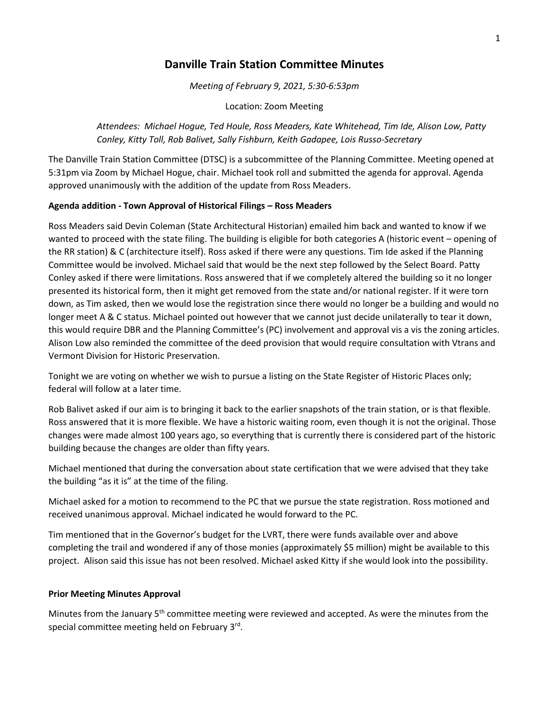# **Danville Train Station Committee Minutes**

*Meeting of February 9, 2021, 5:30-6:53pm*

Location: Zoom Meeting

*Attendees: Michael Hogue, Ted Houle, Ross Meaders, Kate Whitehead, Tim Ide, Alison Low, Patty Conley, Kitty Toll, Rob Balivet, Sally Fishburn, Keith Gadapee, Lois Russo-Secretary*

The Danville Train Station Committee (DTSC) is a subcommittee of the Planning Committee. Meeting opened at 5:31pm via Zoom by Michael Hogue, chair. Michael took roll and submitted the agenda for approval. Agenda approved unanimously with the addition of the update from Ross Meaders.

# **Agenda addition - Town Approval of Historical Filings – Ross Meaders**

Ross Meaders said Devin Coleman (State Architectural Historian) emailed him back and wanted to know if we wanted to proceed with the state filing. The building is eligible for both categories A (historic event – opening of the RR station) & C (architecture itself). Ross asked if there were any questions. Tim Ide asked if the Planning Committee would be involved. Michael said that would be the next step followed by the Select Board. Patty Conley asked if there were limitations. Ross answered that if we completely altered the building so it no longer presented its historical form, then it might get removed from the state and/or national register. If it were torn down, as Tim asked, then we would lose the registration since there would no longer be a building and would no longer meet A & C status. Michael pointed out however that we cannot just decide unilaterally to tear it down, this would require DBR and the Planning Committee's (PC) involvement and approval vis a vis the zoning articles. Alison Low also reminded the committee of the deed provision that would require consultation with Vtrans and Vermont Division for Historic Preservation.

Tonight we are voting on whether we wish to pursue a listing on the State Register of Historic Places only; federal will follow at a later time.

Rob Balivet asked if our aim is to bringing it back to the earlier snapshots of the train station, or is that flexible. Ross answered that it is more flexible. We have a historic waiting room, even though it is not the original. Those changes were made almost 100 years ago, so everything that is currently there is considered part of the historic building because the changes are older than fifty years.

Michael mentioned that during the conversation about state certification that we were advised that they take the building "as it is" at the time of the filing.

Michael asked for a motion to recommend to the PC that we pursue the state registration. Ross motioned and received unanimous approval. Michael indicated he would forward to the PC.

Tim mentioned that in the Governor's budget for the LVRT, there were funds available over and above completing the trail and wondered if any of those monies (approximately \$5 million) might be available to this project. Alison said this issue has not been resolved. Michael asked Kitty if she would look into the possibility.

# **Prior Meeting Minutes Approval**

Minutes from the January 5<sup>th</sup> committee meeting were reviewed and accepted. As were the minutes from the special committee meeting held on February 3<sup>rd</sup>.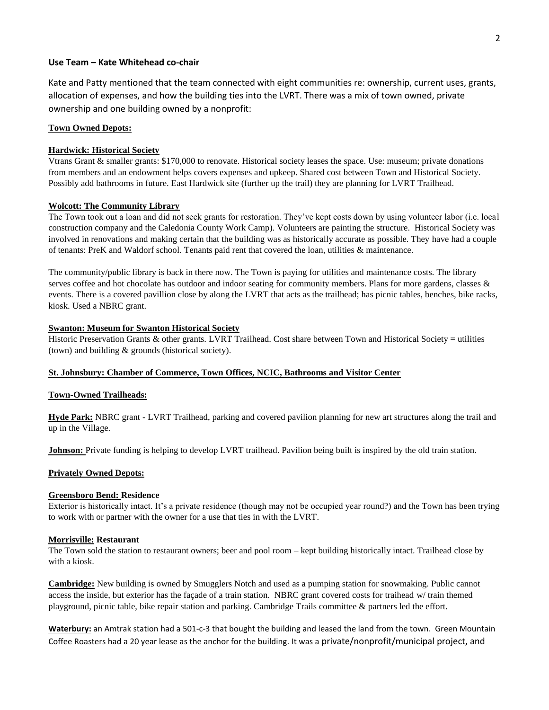## **Use Team – Kate Whitehead co-chair**

Kate and Patty mentioned that the team connected with eight communities re: ownership, current uses, grants, allocation of expenses, and how the building ties into the LVRT. There was a mix of town owned, private ownership and one building owned by a nonprofit:

## **Town Owned Depots:**

### **Hardwick: Historical Society**

Vtrans Grant & smaller grants: \$170,000 to renovate. Historical society leases the space. Use: museum; private donations from members and an endowment helps covers expenses and upkeep. Shared cost between Town and Historical Society. Possibly add bathrooms in future. East Hardwick site (further up the trail) they are planning for LVRT Trailhead.

## **Wolcott: The Community Library**

The Town took out a loan and did not seek grants for restoration. They've kept costs down by using volunteer labor (i.e. local construction company and the Caledonia County Work Camp). Volunteers are painting the structure. Historical Society was involved in renovations and making certain that the building was as historically accurate as possible. They have had a couple of tenants: PreK and Waldorf school. Tenants paid rent that covered the loan, utilities & maintenance.

The community/public library is back in there now. The Town is paying for utilities and maintenance costs. The library serves coffee and hot chocolate has outdoor and indoor seating for community members. Plans for more gardens, classes & events. There is a covered pavillion close by along the LVRT that acts as the trailhead; has picnic tables, benches, bike racks, kiosk. Used a NBRC grant.

#### **Swanton: Museum for Swanton Historical Society**

Historic Preservation Grants & other grants. LVRT Trailhead. Cost share between Town and Historical Society = utilities (town) and building & grounds (historical society).

## **St. Johnsbury: Chamber of Commerce, Town Offices, NCIC, Bathrooms and Visitor Center**

#### **Town-Owned Trailheads:**

**Hyde Park:** NBRC grant - LVRT Trailhead, parking and covered pavilion planning for new art structures along the trail and up in the Village.

**Johnson:** Private funding is helping to develop LVRT trailhead. Pavilion being built is inspired by the old train station.

## **Privately Owned Depots:**

#### **Greensboro Bend: Residence**

Exterior is historically intact. It's a private residence (though may not be occupied year round?) and the Town has been trying to work with or partner with the owner for a use that ties in with the LVRT.

#### **Morrisville: Restaurant**

The Town sold the station to restaurant owners; beer and pool room – kept building historically intact. Trailhead close by with a kiosk.

**Cambridge:** New building is owned by Smugglers Notch and used as a pumping station for snowmaking. Public cannot access the inside, but exterior has the façade of a train station. NBRC grant covered costs for traihead w/ train themed playground, picnic table, bike repair station and parking. Cambridge Trails committee & partners led the effort.

**Waterbury:** an Amtrak station had a 501-c-3 that bought the building and leased the land from the town. Green Mountain Coffee Roasters had a 20 year lease as the anchor for the building. It was a private/nonprofit/municipal project, and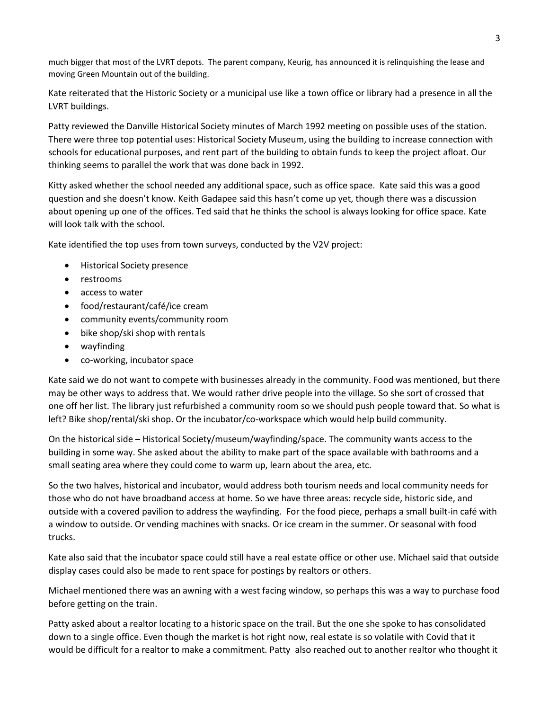much bigger that most of the LVRT depots. The parent company, Keurig, has announced it is relinquishing the lease and moving Green Mountain out of the building.

Kate reiterated that the Historic Society or a municipal use like a town office or library had a presence in all the LVRT buildings.

Patty reviewed the Danville Historical Society minutes of March 1992 meeting on possible uses of the station. There were three top potential uses: Historical Society Museum, using the building to increase connection with schools for educational purposes, and rent part of the building to obtain funds to keep the project afloat. Our thinking seems to parallel the work that was done back in 1992.

Kitty asked whether the school needed any additional space, such as office space. Kate said this was a good question and she doesn't know. Keith Gadapee said this hasn't come up yet, though there was a discussion about opening up one of the offices. Ted said that he thinks the school is always looking for office space. Kate will look talk with the school.

Kate identified the top uses from town surveys, conducted by the V2V project:

- Historical Society presence
- restrooms
- access to water
- food/restaurant/café/ice cream
- community events/community room
- bike shop/ski shop with rentals
- wayfinding
- co-working, incubator space

Kate said we do not want to compete with businesses already in the community. Food was mentioned, but there may be other ways to address that. We would rather drive people into the village. So she sort of crossed that one off her list. The library just refurbished a community room so we should push people toward that. So what is left? Bike shop/rental/ski shop. Or the incubator/co-workspace which would help build community.

On the historical side – Historical Society/museum/wayfinding/space. The community wants access to the building in some way. She asked about the ability to make part of the space available with bathrooms and a small seating area where they could come to warm up, learn about the area, etc.

So the two halves, historical and incubator, would address both tourism needs and local community needs for those who do not have broadband access at home. So we have three areas: recycle side, historic side, and outside with a covered pavilion to address the wayfinding. For the food piece, perhaps a small built-in café with a window to outside. Or vending machines with snacks. Or ice cream in the summer. Or seasonal with food trucks.

Kate also said that the incubator space could still have a real estate office or other use. Michael said that outside display cases could also be made to rent space for postings by realtors or others.

Michael mentioned there was an awning with a west facing window, so perhaps this was a way to purchase food before getting on the train.

Patty asked about a realtor locating to a historic space on the trail. But the one she spoke to has consolidated down to a single office. Even though the market is hot right now, real estate is so volatile with Covid that it would be difficult for a realtor to make a commitment. Patty also reached out to another realtor who thought it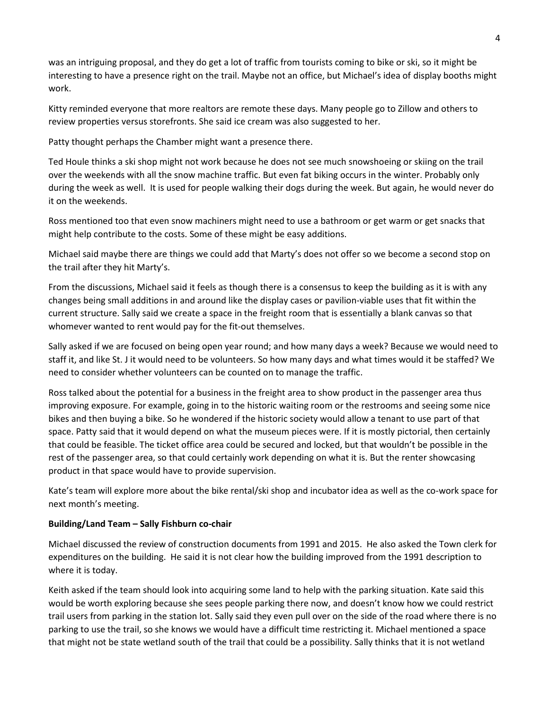was an intriguing proposal, and they do get a lot of traffic from tourists coming to bike or ski, so it might be interesting to have a presence right on the trail. Maybe not an office, but Michael's idea of display booths might work.

Kitty reminded everyone that more realtors are remote these days. Many people go to Zillow and others to review properties versus storefronts. She said ice cream was also suggested to her.

Patty thought perhaps the Chamber might want a presence there.

Ted Houle thinks a ski shop might not work because he does not see much snowshoeing or skiing on the trail over the weekends with all the snow machine traffic. But even fat biking occurs in the winter. Probably only during the week as well. It is used for people walking their dogs during the week. But again, he would never do it on the weekends.

Ross mentioned too that even snow machiners might need to use a bathroom or get warm or get snacks that might help contribute to the costs. Some of these might be easy additions.

Michael said maybe there are things we could add that Marty's does not offer so we become a second stop on the trail after they hit Marty's.

From the discussions, Michael said it feels as though there is a consensus to keep the building as it is with any changes being small additions in and around like the display cases or pavilion-viable uses that fit within the current structure. Sally said we create a space in the freight room that is essentially a blank canvas so that whomever wanted to rent would pay for the fit-out themselves.

Sally asked if we are focused on being open year round; and how many days a week? Because we would need to staff it, and like St. J it would need to be volunteers. So how many days and what times would it be staffed? We need to consider whether volunteers can be counted on to manage the traffic.

Ross talked about the potential for a business in the freight area to show product in the passenger area thus improving exposure. For example, going in to the historic waiting room or the restrooms and seeing some nice bikes and then buying a bike. So he wondered if the historic society would allow a tenant to use part of that space. Patty said that it would depend on what the museum pieces were. If it is mostly pictorial, then certainly that could be feasible. The ticket office area could be secured and locked, but that wouldn't be possible in the rest of the passenger area, so that could certainly work depending on what it is. But the renter showcasing product in that space would have to provide supervision.

Kate's team will explore more about the bike rental/ski shop and incubator idea as well as the co-work space for next month's meeting.

# **Building/Land Team – Sally Fishburn co-chair**

Michael discussed the review of construction documents from 1991 and 2015. He also asked the Town clerk for expenditures on the building. He said it is not clear how the building improved from the 1991 description to where it is today.

Keith asked if the team should look into acquiring some land to help with the parking situation. Kate said this would be worth exploring because she sees people parking there now, and doesn't know how we could restrict trail users from parking in the station lot. Sally said they even pull over on the side of the road where there is no parking to use the trail, so she knows we would have a difficult time restricting it. Michael mentioned a space that might not be state wetland south of the trail that could be a possibility. Sally thinks that it is not wetland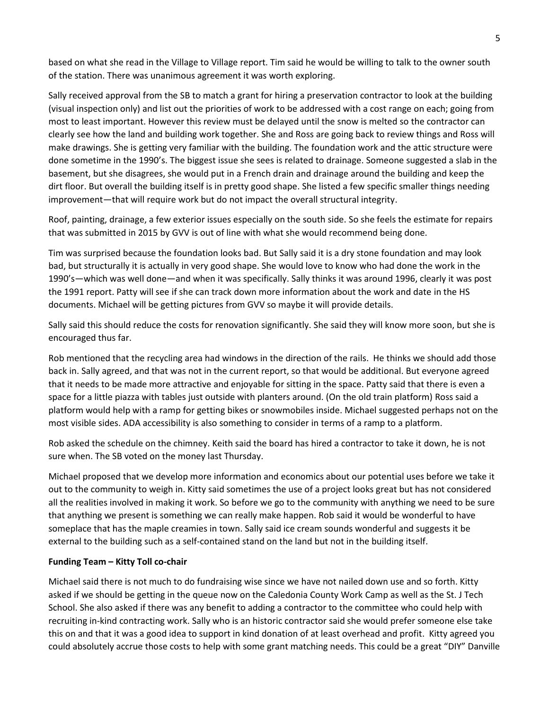based on what she read in the Village to Village report. Tim said he would be willing to talk to the owner south of the station. There was unanimous agreement it was worth exploring.

Sally received approval from the SB to match a grant for hiring a preservation contractor to look at the building (visual inspection only) and list out the priorities of work to be addressed with a cost range on each; going from most to least important. However this review must be delayed until the snow is melted so the contractor can clearly see how the land and building work together. She and Ross are going back to review things and Ross will make drawings. She is getting very familiar with the building. The foundation work and the attic structure were done sometime in the 1990's. The biggest issue she sees is related to drainage. Someone suggested a slab in the basement, but she disagrees, she would put in a French drain and drainage around the building and keep the dirt floor. But overall the building itself is in pretty good shape. She listed a few specific smaller things needing improvement—that will require work but do not impact the overall structural integrity.

Roof, painting, drainage, a few exterior issues especially on the south side. So she feels the estimate for repairs that was submitted in 2015 by GVV is out of line with what she would recommend being done.

Tim was surprised because the foundation looks bad. But Sally said it is a dry stone foundation and may look bad, but structurally it is actually in very good shape. She would love to know who had done the work in the 1990's—which was well done—and when it was specifically. Sally thinks it was around 1996, clearly it was post the 1991 report. Patty will see if she can track down more information about the work and date in the HS documents. Michael will be getting pictures from GVV so maybe it will provide details.

Sally said this should reduce the costs for renovation significantly. She said they will know more soon, but she is encouraged thus far.

Rob mentioned that the recycling area had windows in the direction of the rails. He thinks we should add those back in. Sally agreed, and that was not in the current report, so that would be additional. But everyone agreed that it needs to be made more attractive and enjoyable for sitting in the space. Patty said that there is even a space for a little piazza with tables just outside with planters around. (On the old train platform) Ross said a platform would help with a ramp for getting bikes or snowmobiles inside. Michael suggested perhaps not on the most visible sides. ADA accessibility is also something to consider in terms of a ramp to a platform.

Rob asked the schedule on the chimney. Keith said the board has hired a contractor to take it down, he is not sure when. The SB voted on the money last Thursday.

Michael proposed that we develop more information and economics about our potential uses before we take it out to the community to weigh in. Kitty said sometimes the use of a project looks great but has not considered all the realities involved in making it work. So before we go to the community with anything we need to be sure that anything we present is something we can really make happen. Rob said it would be wonderful to have someplace that has the maple creamies in town. Sally said ice cream sounds wonderful and suggests it be external to the building such as a self-contained stand on the land but not in the building itself.

# **Funding Team – Kitty Toll co-chair**

Michael said there is not much to do fundraising wise since we have not nailed down use and so forth. Kitty asked if we should be getting in the queue now on the Caledonia County Work Camp as well as the St. J Tech School. She also asked if there was any benefit to adding a contractor to the committee who could help with recruiting in-kind contracting work. Sally who is an historic contractor said she would prefer someone else take this on and that it was a good idea to support in kind donation of at least overhead and profit. Kitty agreed you could absolutely accrue those costs to help with some grant matching needs. This could be a great "DIY" Danville